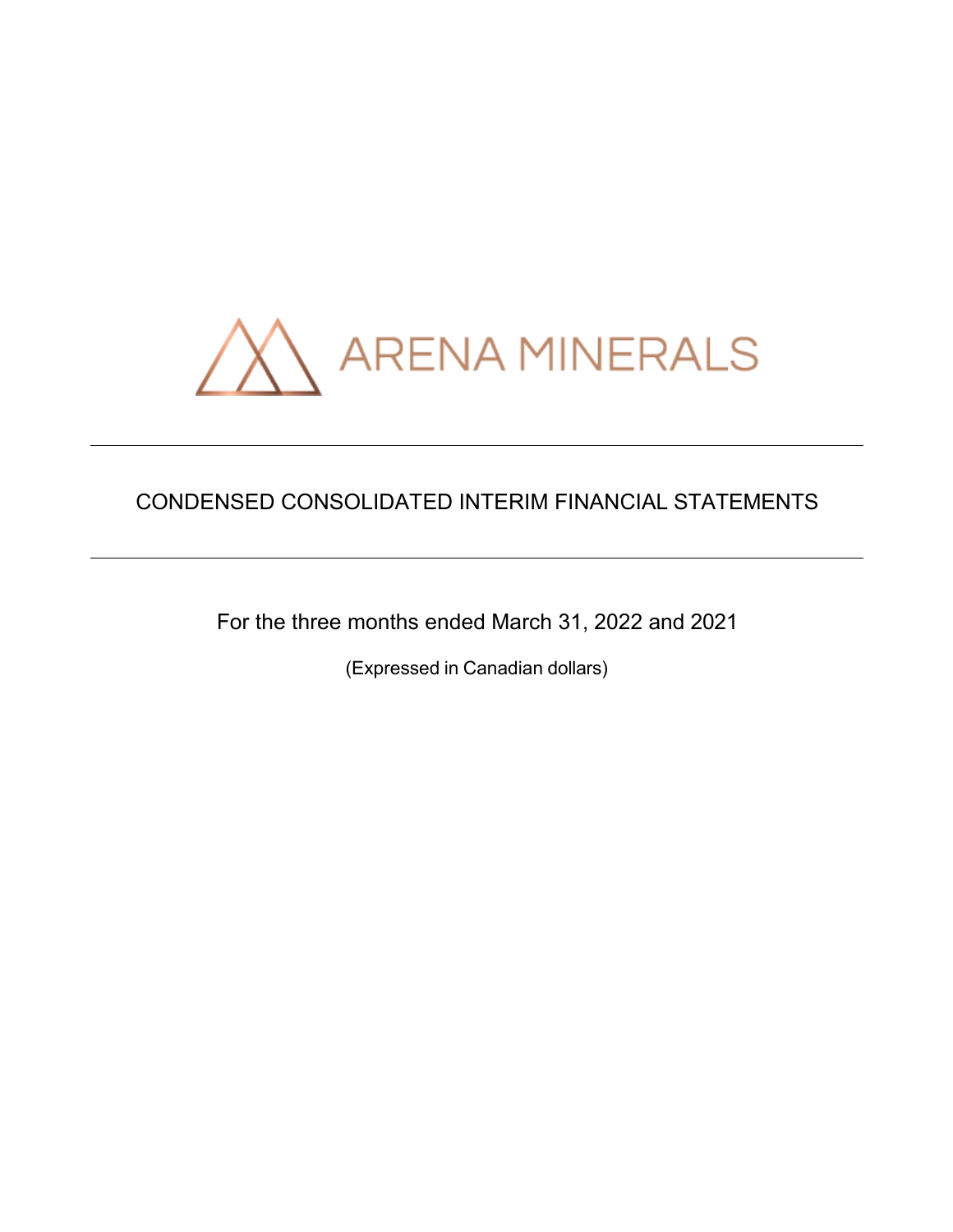

# CONDENSED CONSOLIDATED INTERIM FINANCIAL STATEMENTS

For the three months ended March 31, 2022 and 2021

(Expressed in Canadian dollars)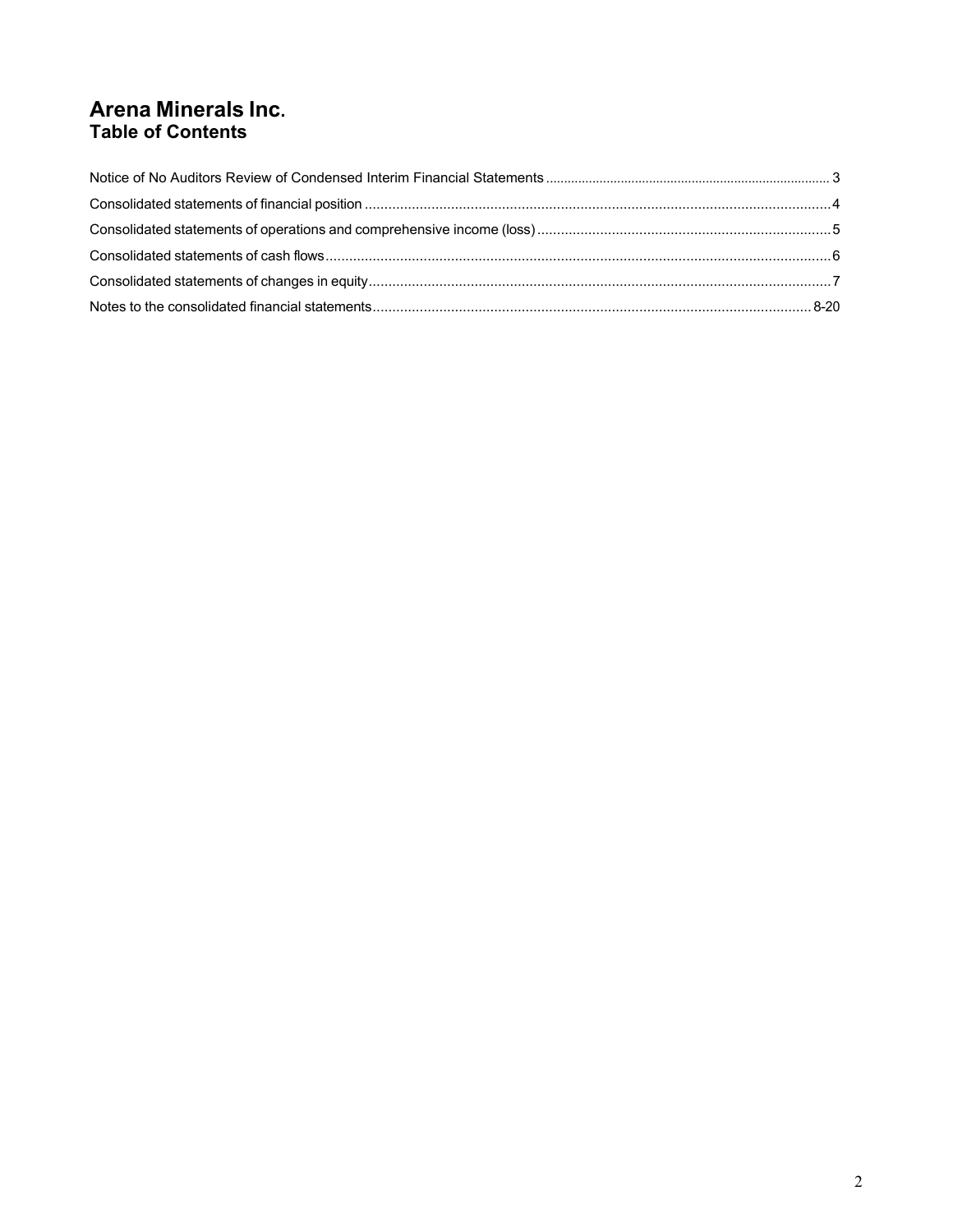# **Arena Minerals Inc. Table of Contents**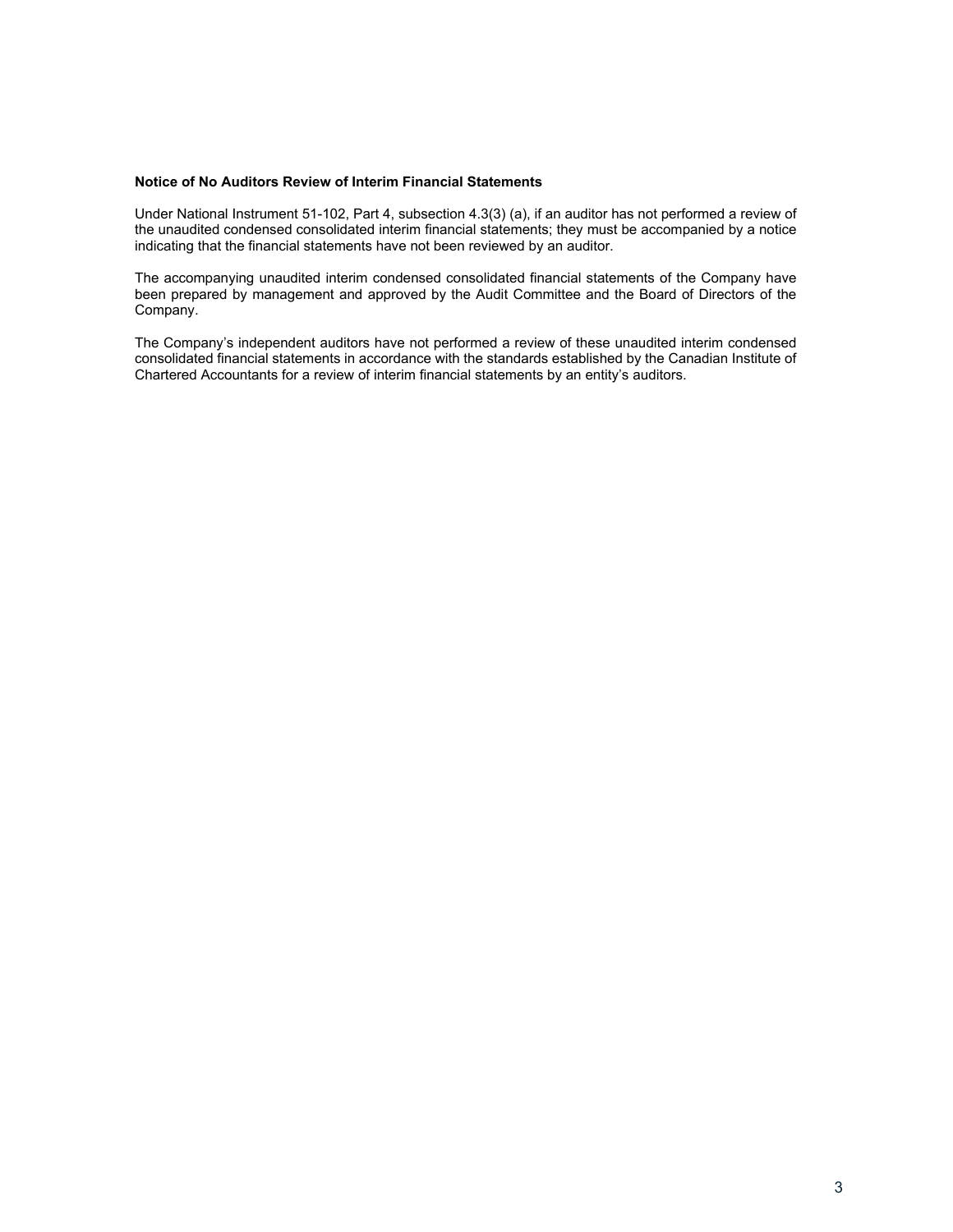### **Notice of No Auditors Review of Interim Financial Statements**

Under National Instrument 51-102, Part 4, subsection 4.3(3) (a), if an auditor has not performed a review of the unaudited condensed consolidated interim financial statements; they must be accompanied by a notice indicating that the financial statements have not been reviewed by an auditor.

The accompanying unaudited interim condensed consolidated financial statements of the Company have been prepared by management and approved by the Audit Committee and the Board of Directors of the Company.

The Company's independent auditors have not performed a review of these unaudited interim condensed consolidated financial statements in accordance with the standards established by the Canadian Institute of Chartered Accountants for a review of interim financial statements by an entity's auditors.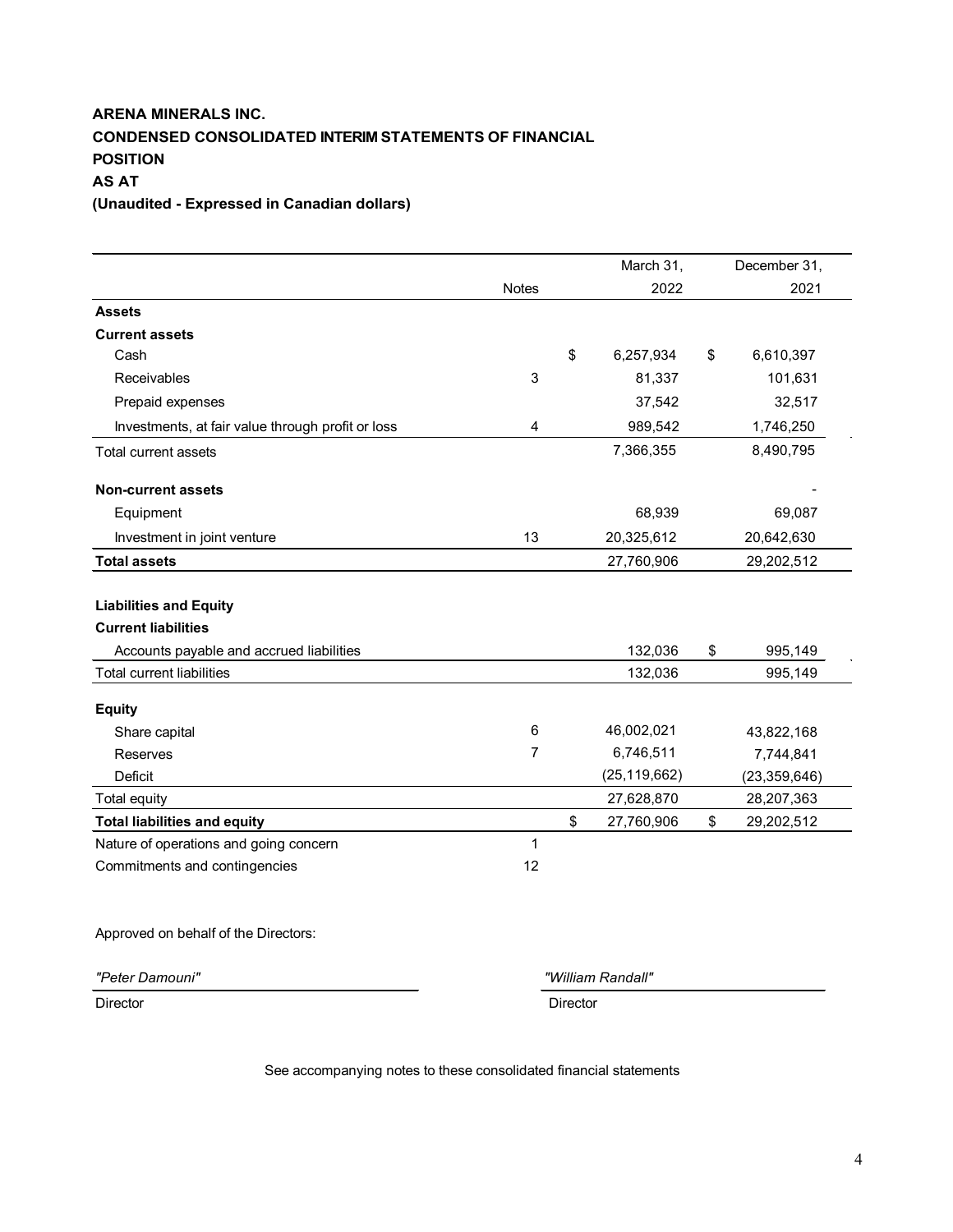# **ARENA MINERALS INC. CONDENSED CONSOLIDATED INTERIM STATEMENTS OF FINANCIAL POSITION AS AT (Unaudited - Expressed in Canadian dollars)**

March 31, December 31, Notes 2022 2021 **Assets Current assets** Cash \$ 6,257,934 \$ 6,610,397 Receivables 3 81,337 101,631 Prepaid expenses 37,542 32,517 4 989,542 1,746,250 Total current assets 7,366,355 8,490,795 **Non-current assets** - Equipment 68,939 69,087 Investment in joint venture 13 20,325,612 20,642,630 **Total assets** 27,760,906 29,202,512 **Liabilities and Equity Current liabilities** Accounts payable and accrued liabilities 132,036 \$995,149 Total current liabilities 132,036 995,149 **Equity** Share capital 6 46,002,021 43,822,168 Reserves 7 6,746,511 7,744,841 Deficit (25,119,662) (23,359,646) Total equity 27,628,870 28,207,363 **Total liabilities and equity** \$ 27,760,906 \$ 29,202,512 Nature of operations and going concern 1 Commitments and contingencies 12 Investments, at fair value through profit or loss

Approved on behalf of the Directors:

*"Peter Damouni" "William Randall"*

Director Director

See accompanying notes to these consolidated financial statements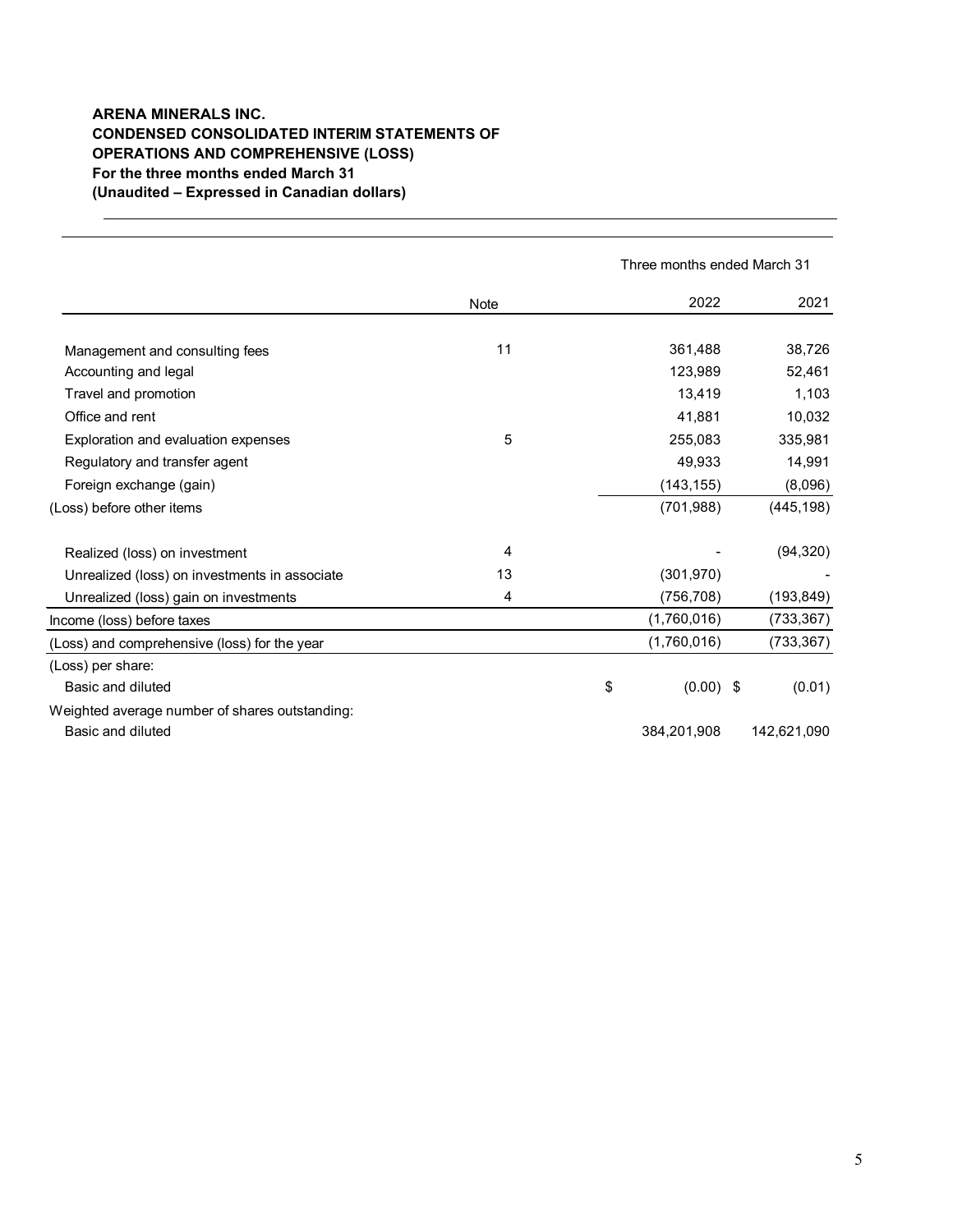# **ARENA MINERALS INC. CONDENSED CONSOLIDATED INTERIM STATEMENTS OF OPERATIONS AND COMPREHENSIVE (LOSS) For the three months ended March 31 (Unaudited – Expressed in Canadian dollars)**

 $\frac{1}{2}$ 

|                                                |      | Three months ended March 31 |  |             |
|------------------------------------------------|------|-----------------------------|--|-------------|
|                                                | Note | 2022                        |  | 2021        |
| Management and consulting fees                 | 11   | 361,488                     |  | 38,726      |
| Accounting and legal                           |      | 123,989                     |  | 52,461      |
| Travel and promotion                           |      | 13,419                      |  | 1,103       |
| Office and rent                                |      | 41,881                      |  | 10,032      |
| Exploration and evaluation expenses            | 5    | 255,083                     |  | 335,981     |
| Regulatory and transfer agent                  |      | 49,933                      |  | 14,991      |
| Foreign exchange (gain)                        |      | (143, 155)                  |  | (8,096)     |
| (Loss) before other items                      |      | (701, 988)                  |  | (445, 198)  |
| Realized (loss) on investment                  | 4    |                             |  | (94, 320)   |
| Unrealized (loss) on investments in associate  | 13   | (301, 970)                  |  |             |
| Unrealized (loss) gain on investments          | 4    | (756, 708)                  |  | (193, 849)  |
| Income (loss) before taxes                     |      | (1,760,016)                 |  | (733, 367)  |
| (Loss) and comprehensive (loss) for the year   |      | (1,760,016)                 |  | (733, 367)  |
| (Loss) per share:                              |      |                             |  |             |
| Basic and diluted                              |      | \$<br>$(0.00)$ \$           |  | (0.01)      |
| Weighted average number of shares outstanding: |      |                             |  |             |
| Basic and diluted                              |      | 384,201,908                 |  | 142,621,090 |
|                                                |      |                             |  |             |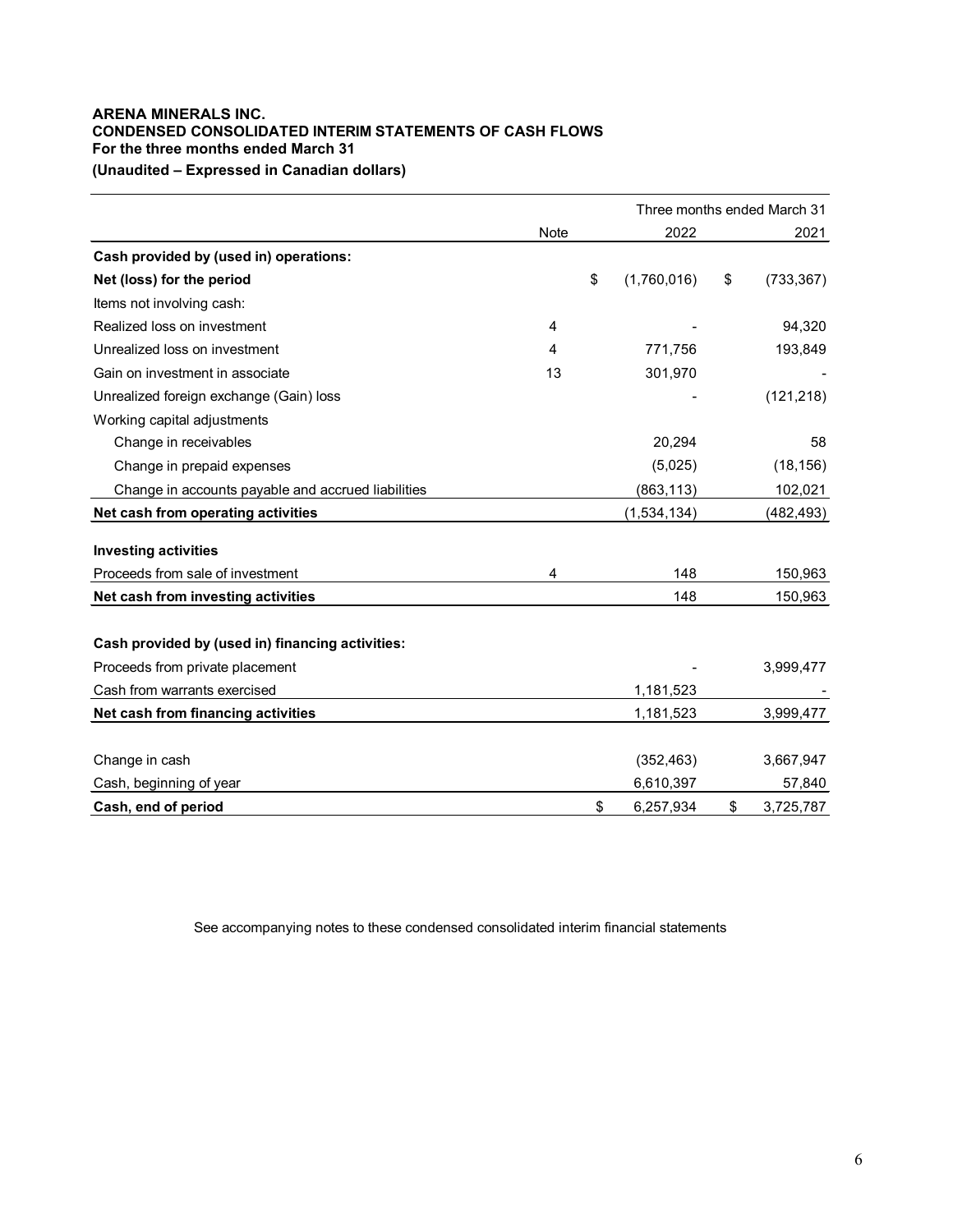# **ARENA MINERALS INC. CONDENSED CONSOLIDATED INTERIM STATEMENTS OF CASH FLOWS For the three months ended March 31 (Unaudited – Expressed in Canadian dollars)**

|                                                    |      |                   | Three months ended March 31 |            |  |
|----------------------------------------------------|------|-------------------|-----------------------------|------------|--|
|                                                    | Note | 2022              |                             | 2021       |  |
| Cash provided by (used in) operations:             |      |                   |                             |            |  |
| Net (loss) for the period                          |      | \$<br>(1,760,016) | \$                          | (733, 367) |  |
| Items not involving cash:                          |      |                   |                             |            |  |
| Realized loss on investment                        | 4    |                   |                             | 94,320     |  |
| Unrealized loss on investment                      | 4    | 771,756           |                             | 193,849    |  |
| Gain on investment in associate                    | 13   | 301,970           |                             |            |  |
| Unrealized foreign exchange (Gain) loss            |      |                   |                             | (121, 218) |  |
| Working capital adjustments                        |      |                   |                             |            |  |
| Change in receivables                              |      | 20,294            |                             | 58         |  |
| Change in prepaid expenses                         |      | (5,025)           |                             | (18, 156)  |  |
| Change in accounts payable and accrued liabilities |      | (863, 113)        |                             | 102,021    |  |
| Net cash from operating activities                 |      | (1,534,134)       |                             | (482, 493) |  |
| <b>Investing activities</b>                        |      |                   |                             |            |  |
| Proceeds from sale of investment                   | 4    | 148               |                             | 150,963    |  |
| Net cash from investing activities                 |      | 148               |                             | 150,963    |  |
|                                                    |      |                   |                             |            |  |
| Cash provided by (used in) financing activities:   |      |                   |                             |            |  |
| Proceeds from private placement                    |      |                   |                             | 3,999,477  |  |
| Cash from warrants exercised                       |      | 1,181,523         |                             |            |  |
| Net cash from financing activities                 |      | 1,181,523         |                             | 3,999,477  |  |
|                                                    |      |                   |                             |            |  |
| Change in cash                                     |      | (352, 463)        |                             | 3,667,947  |  |
| Cash, beginning of year                            |      | 6,610,397         |                             | 57,840     |  |
| Cash, end of period                                |      | \$<br>6,257,934   | \$                          | 3,725,787  |  |

See accompanying notes to these condensed consolidated interim financial statements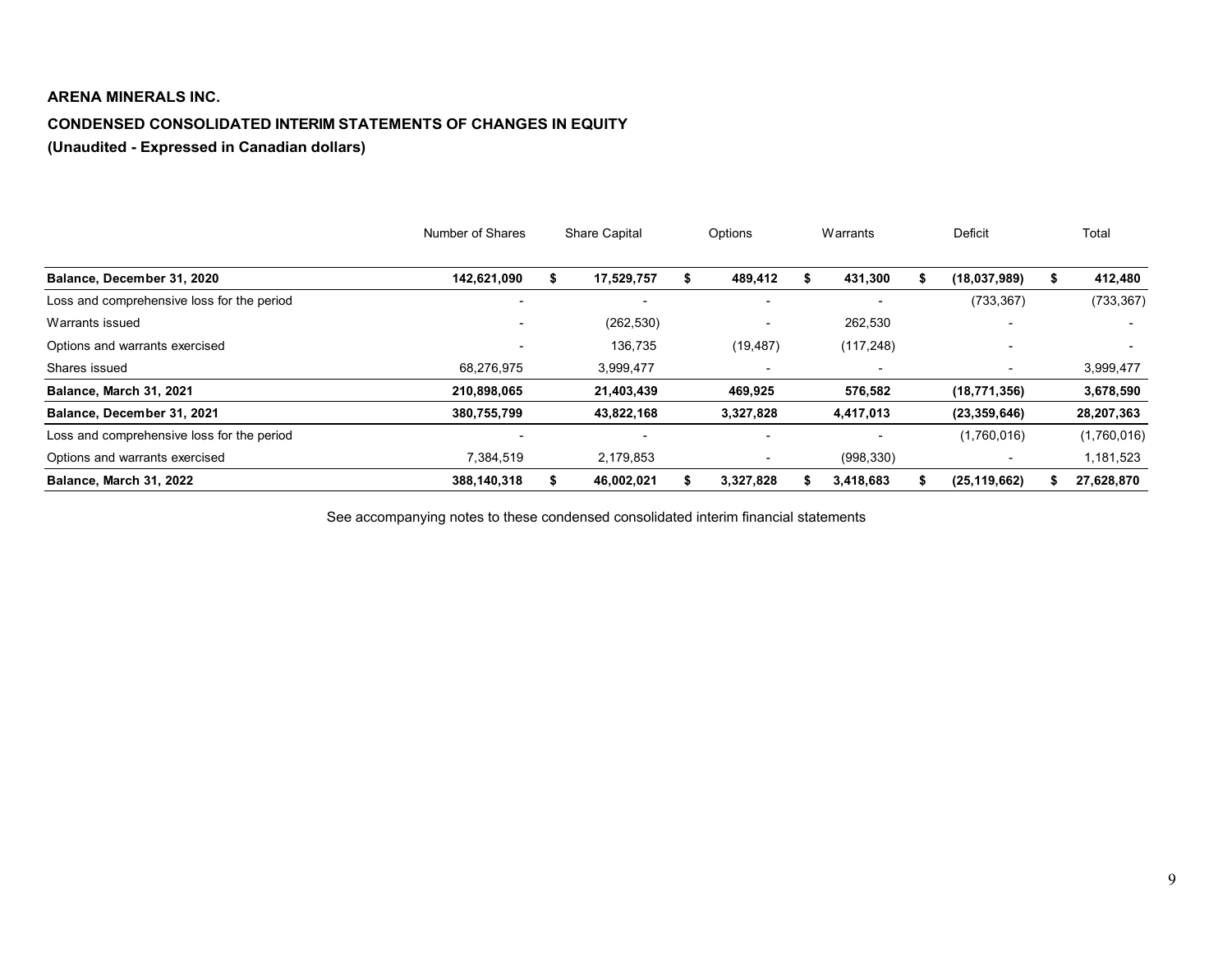# **ARENA MINERALS INC.**

# **CONDENSED CONSOLIDATED INTERIM STATEMENTS OF CHANGES IN EQUITY**

**(Unaudited - Expressed in Canadian dollars)**

<span id="page-6-0"></span>

|                                            | Number of Shares         | <b>Share Capital</b> |            |  | Options   | Warrants                 | Deficit        | Total       |
|--------------------------------------------|--------------------------|----------------------|------------|--|-----------|--------------------------|----------------|-------------|
| Balance, December 31, 2020                 | 142,621,090              |                      | 17,529,757 |  | 489,412   | 431,300                  | (18,037,989)   | 412,480     |
| Loss and comprehensive loss for the period | $\overline{\phantom{a}}$ |                      |            |  |           |                          | (733, 367)     | (733, 367)  |
| Warrants issued                            |                          |                      | (262, 530) |  |           | 262,530                  |                |             |
| Options and warrants exercised             | $\overline{\phantom{0}}$ |                      | 136,735    |  | (19, 487) | (117, 248)               |                |             |
| Shares issued                              | 68,276,975               |                      | 3,999,477  |  |           | $\overline{\phantom{a}}$ |                | 3,999,477   |
| Balance, March 31, 2021                    | 210,898,065              |                      | 21,403,439 |  | 469,925   | 576,582                  | (18, 771, 356) | 3,678,590   |
| Balance, December 31, 2021                 | 380,755,799              |                      | 43,822,168 |  | 3,327,828 | 4,417,013                | (23, 359, 646) | 28,207,363  |
| Loss and comprehensive loss for the period |                          |                      |            |  |           |                          | (1,760,016)    | (1,760,016) |
| Options and warrants exercised             | 7,384,519                |                      | 2,179,853  |  |           | (998, 330)               |                | 1,181,523   |
| Balance, March 31, 2022                    | 388,140,318              |                      | 46,002,021 |  | 3,327,828 | 3,418,683                | (25, 119, 662) | 27,628,870  |

See accompanying notes to these condensed consolidated interim financial statements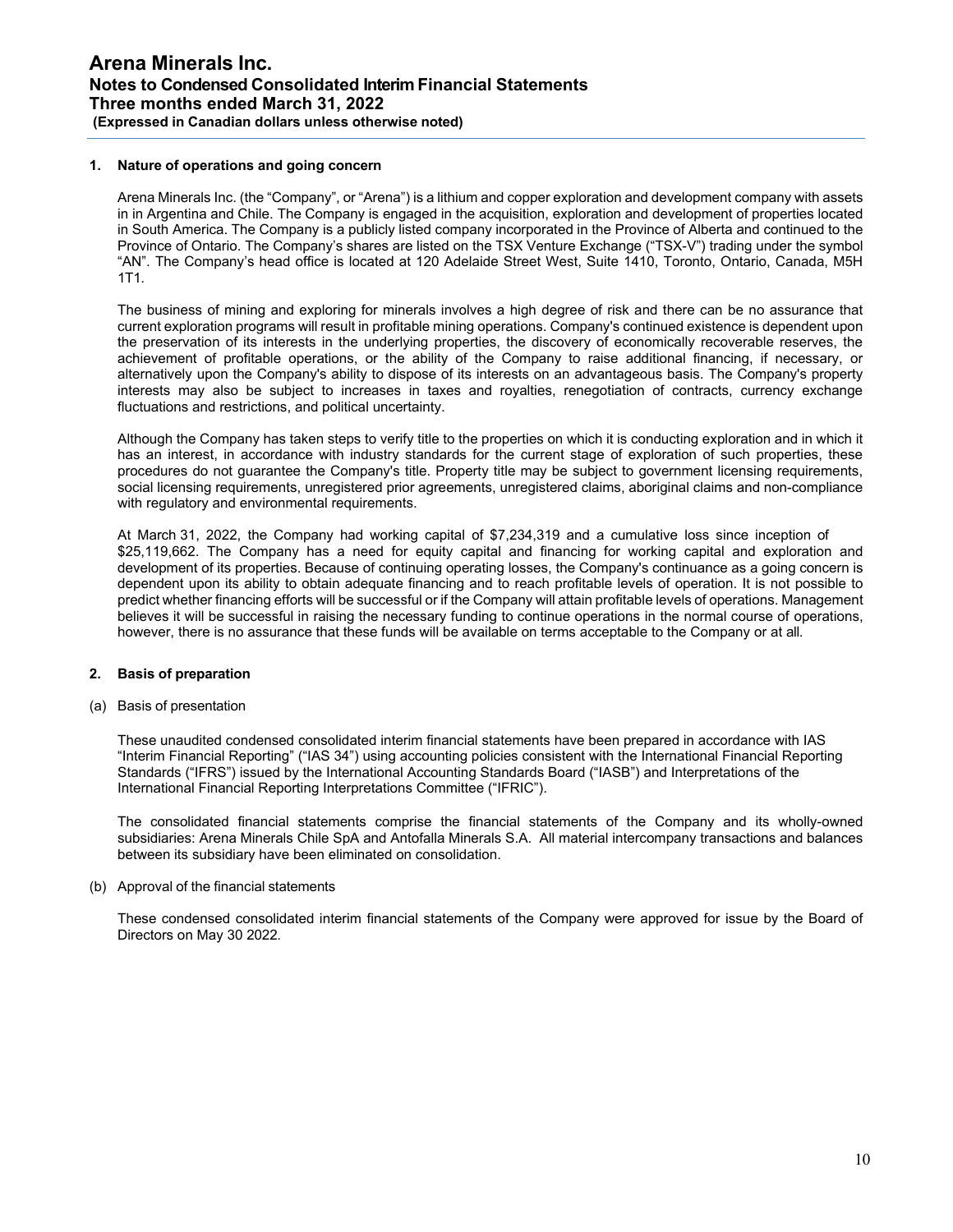## **1. Nature of operations and going concern**

Arena Minerals Inc. (the "Company", or "Arena") is a lithium and copper exploration and development company with assets in in Argentina and Chile. The Company is engaged in the acquisition, exploration and development of properties located in South America. The Company is a publicly listed company incorporated in the Province of Alberta and continued to the Province of Ontario. The Company's shares are listed on the TSX Venture Exchange ("TSX-V") trading under the symbol "AN". The Company's head office is located at 120 Adelaide Street West, Suite 1410, Toronto, Ontario, Canada, M5H 1T1.

The business of mining and exploring for minerals involves a high degree of risk and there can be no assurance that current exploration programs will result in profitable mining operations. Company's continued existence is dependent upon the preservation of its interests in the underlying properties, the discovery of economically recoverable reserves, the achievement of profitable operations, or the ability of the Company to raise additional financing, if necessary, or alternatively upon the Company's ability to dispose of its interests on an advantageous basis. The Company's property interests may also be subject to increases in taxes and royalties, renegotiation of contracts, currency exchange fluctuations and restrictions, and political uncertainty.

Although the Company has taken steps to verify title to the properties on which it is conducting exploration and in which it has an interest, in accordance with industry standards for the current stage of exploration of such properties, these procedures do not guarantee the Company's title. Property title may be subject to government licensing requirements, social licensing requirements, unregistered prior agreements, unregistered claims, aboriginal claims and non-compliance with regulatory and environmental requirements.

At March 31, 2022, the Company had working capital of \$7,234,319 and a cumulative loss since inception of \$25,119,662. The Company has a need for equity capital and financing for working capital and exploration and development of its properties. Because of continuing operating losses, the Company's continuance as a going concern is dependent upon its ability to obtain adequate financing and to reach profitable levels of operation. It is not possible to predict whether financing efforts will be successful or if the Company will attain profitable levels of operations. Management believes it will be successful in raising the necessary funding to continue operations in the normal course of operations, however, there is no assurance that these funds will be available on terms acceptable to the Company or at all.

#### **2. Basis of preparation**

(a) Basis of presentation

These unaudited condensed consolidated interim financial statements have been prepared in accordance with IAS "Interim Financial Reporting" ("IAS 34") using accounting policies consistent with the International Financial Reporting Standards ("IFRS") issued by the International Accounting Standards Board ("IASB") and Interpretations of the International Financial Reporting Interpretations Committee ("IFRIC").

The consolidated financial statements comprise the financial statements of the Company and its wholly-owned subsidiaries: Arena Minerals Chile SpA and Antofalla Minerals S.A. All material intercompany transactions and balances between its subsidiary have been eliminated on consolidation.

#### (b) Approval of the financial statements

These condensed consolidated interim financial statements of the Company were approved for issue by the Board of Directors on May 30 2022.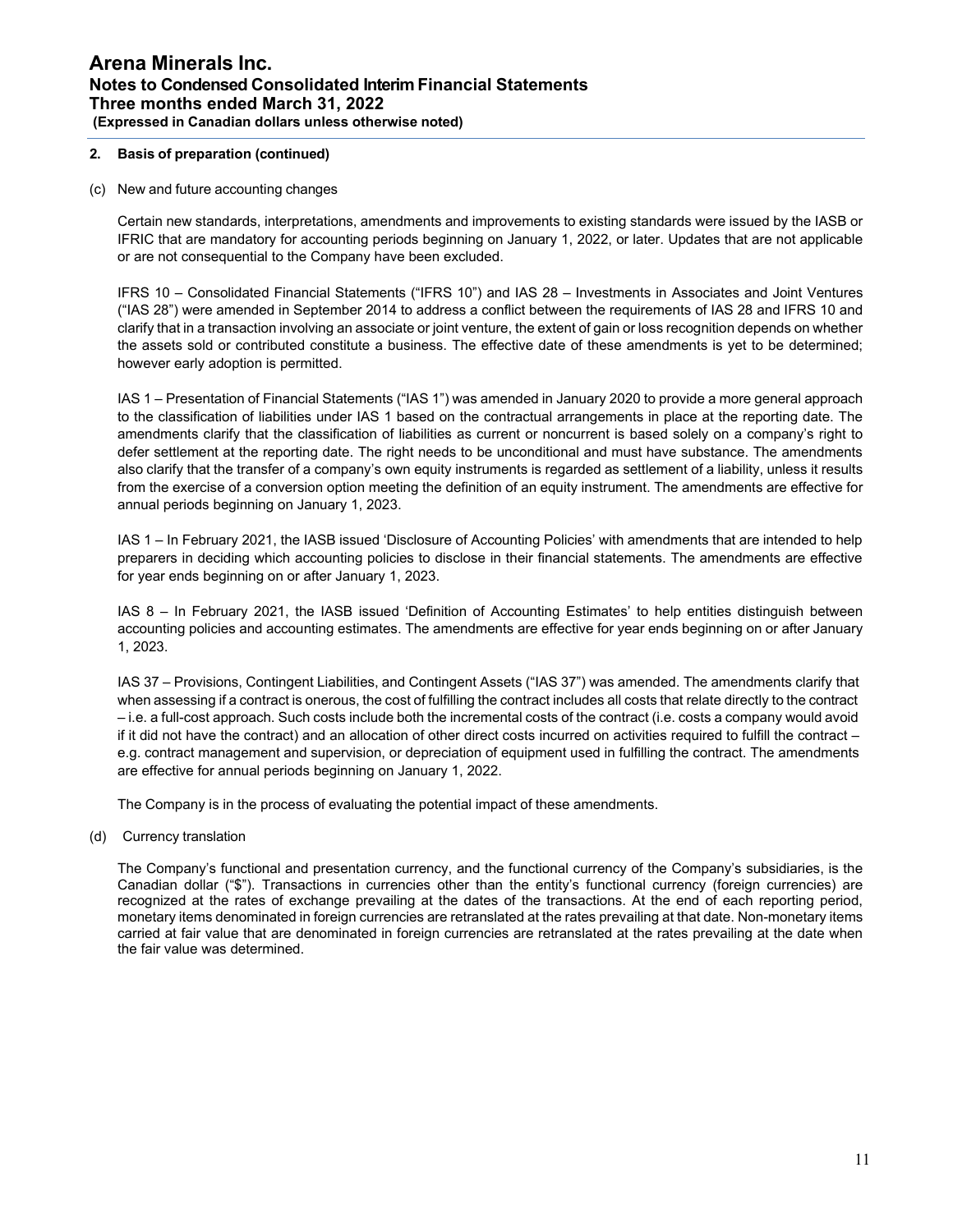# **2. Basis of preparation (continued)**

#### (c) New and future accounting changes

Certain new standards, interpretations, amendments and improvements to existing standards were issued by the IASB or IFRIC that are mandatory for accounting periods beginning on January 1, 2022, or later. Updates that are not applicable or are not consequential to the Company have been excluded.

IFRS 10 – Consolidated Financial Statements ("IFRS 10") and IAS 28 – Investments in Associates and Joint Ventures ("IAS 28") were amended in September 2014 to address a conflict between the requirements of IAS 28 and IFRS 10 and clarify that in a transaction involving an associate or joint venture, the extent of gain or loss recognition depends on whether the assets sold or contributed constitute a business. The effective date of these amendments is yet to be determined; however early adoption is permitted.

IAS 1 – Presentation of Financial Statements ("IAS 1") was amended in January 2020 to provide a more general approach to the classification of liabilities under IAS 1 based on the contractual arrangements in place at the reporting date. The amendments clarify that the classification of liabilities as current or noncurrent is based solely on a company's right to defer settlement at the reporting date. The right needs to be unconditional and must have substance. The amendments also clarify that the transfer of a company's own equity instruments is regarded as settlement of a liability, unless it results from the exercise of a conversion option meeting the definition of an equity instrument. The amendments are effective for annual periods beginning on January 1, 2023.

IAS 1 – In February 2021, the IASB issued 'Disclosure of Accounting Policies' with amendments that are intended to help preparers in deciding which accounting policies to disclose in their financial statements. The amendments are effective for year ends beginning on or after January 1, 2023.

IAS 8 – In February 2021, the IASB issued 'Definition of Accounting Estimates' to help entities distinguish between accounting policies and accounting estimates. The amendments are effective for year ends beginning on or after January 1, 2023.

IAS 37 – Provisions, Contingent Liabilities, and Contingent Assets ("IAS 37") was amended. The amendments clarify that when assessing if a contract is onerous, the cost of fulfilling the contract includes all costs that relate directly to the contract – i.e. a full-cost approach. Such costs include both the incremental costs of the contract (i.e. costs a company would avoid if it did not have the contract) and an allocation of other direct costs incurred on activities required to fulfill the contract – e.g. contract management and supervision, or depreciation of equipment used in fulfilling the contract. The amendments are effective for annual periods beginning on January 1, 2022.

The Company is in the process of evaluating the potential impact of these amendments.

(d) Currency translation

The Company's functional and presentation currency, and the functional currency of the Company's subsidiaries, is the Canadian dollar ("\$"). Transactions in currencies other than the entity's functional currency (foreign currencies) are recognized at the rates of exchange prevailing at the dates of the transactions. At the end of each reporting period, monetary items denominated in foreign currencies are retranslated at the rates prevailing at that date. Non-monetary items carried at fair value that are denominated in foreign currencies are retranslated at the rates prevailing at the date when the fair value was determined.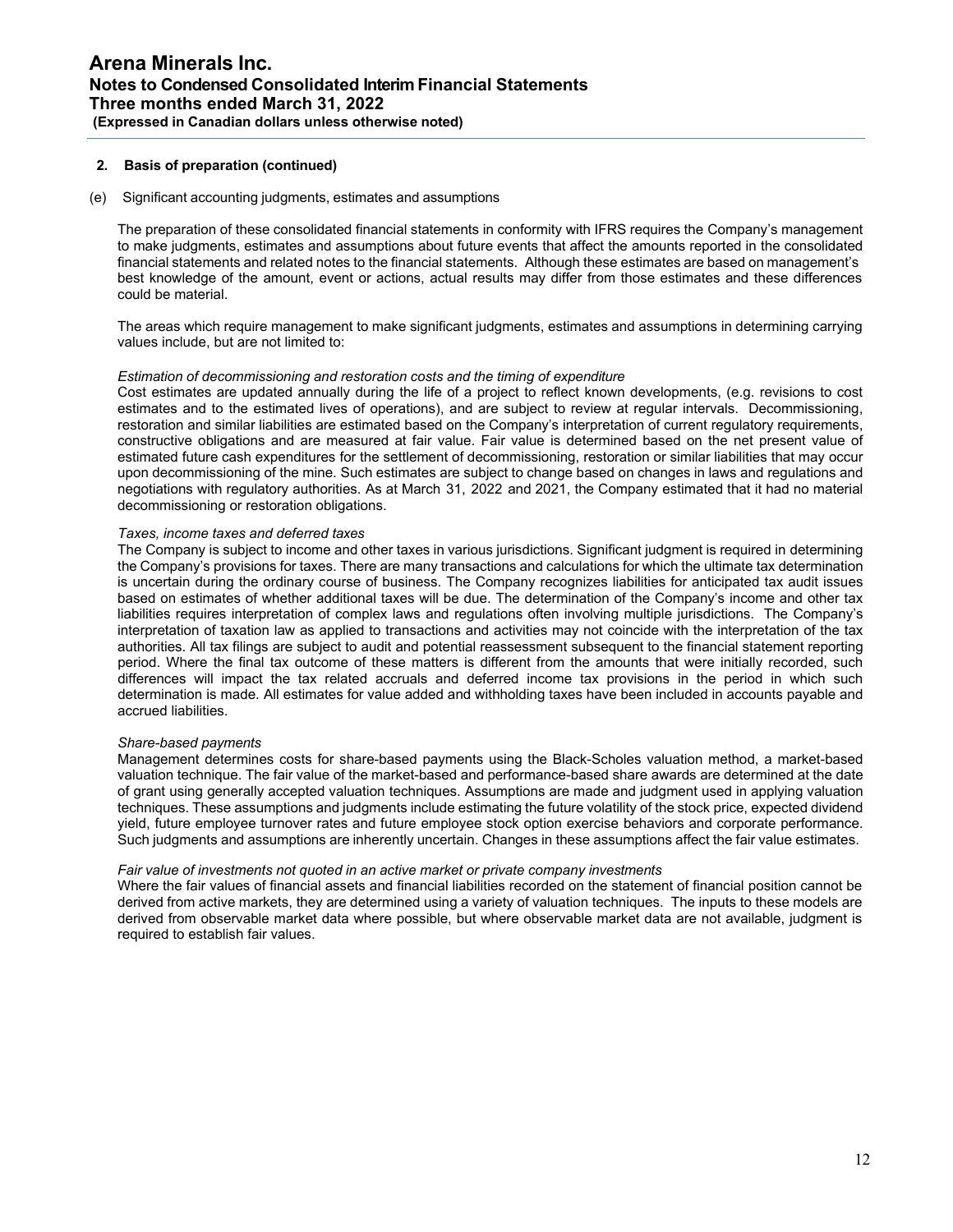# **2. Basis of preparation (continued)**

## (e) Significant accounting judgments, estimates and assumptions

The preparation of these consolidated financial statements in conformity with IFRS requires the Company's management to make judgments, estimates and assumptions about future events that affect the amounts reported in the consolidated financial statements and related notes to the financial statements. Although these estimates are based on management's best knowledge of the amount, event or actions, actual results may differ from those estimates and these differences could be material.

The areas which require management to make significant judgments, estimates and assumptions in determining carrying values include, but are not limited to:

#### *Estimation of decommissioning and restoration costs and the timing of expenditure*

Cost estimates are updated annually during the life of a project to reflect known developments, (e.g. revisions to cost estimates and to the estimated lives of operations), and are subject to review at regular intervals. Decommissioning, restoration and similar liabilities are estimated based on the Company's interpretation of current regulatory requirements, constructive obligations and are measured at fair value. Fair value is determined based on the net present value of estimated future cash expenditures for the settlement of decommissioning, restoration or similar liabilities that may occur upon decommissioning of the mine. Such estimates are subject to change based on changes in laws and regulations and negotiations with regulatory authorities. As at March 31, 2022 and 2021, the Company estimated that it had no material decommissioning or restoration obligations.

#### *Taxes, income taxes and deferred taxes*

The Company is subject to income and other taxes in various jurisdictions. Significant judgment is required in determining the Company's provisions for taxes. There are many transactions and calculations for which the ultimate tax determination is uncertain during the ordinary course of business. The Company recognizes liabilities for anticipated tax audit issues based on estimates of whether additional taxes will be due. The determination of the Company's income and other tax liabilities requires interpretation of complex laws and regulations often involving multiple jurisdictions. The Company's interpretation of taxation law as applied to transactions and activities may not coincide with the interpretation of the tax authorities. All tax filings are subject to audit and potential reassessment subsequent to the financial statement reporting period. Where the final tax outcome of these matters is different from the amounts that were initially recorded, such differences will impact the tax related accruals and deferred income tax provisions in the period in which such determination is made. All estimates for value added and withholding taxes have been included in accounts payable and accrued liabilities.

#### *Share-based payments*

Management determines costs for share-based payments using the Black-Scholes valuation method, a market-based valuation technique. The fair value of the market-based and performance-based share awards are determined at the date of grant using generally accepted valuation techniques. Assumptions are made and judgment used in applying valuation techniques. These assumptions and judgments include estimating the future volatility of the stock price, expected dividend yield, future employee turnover rates and future employee stock option exercise behaviors and corporate performance. Such judgments and assumptions are inherently uncertain. Changes in these assumptions affect the fair value estimates.

#### *Fair value of investments not quoted in an active market or private company investments*

Where the fair values of financial assets and financial liabilities recorded on the statement of financial position cannot be derived from active markets, they are determined using a variety of valuation techniques. The inputs to these models are derived from observable market data where possible, but where observable market data are not available, judgment is required to establish fair values.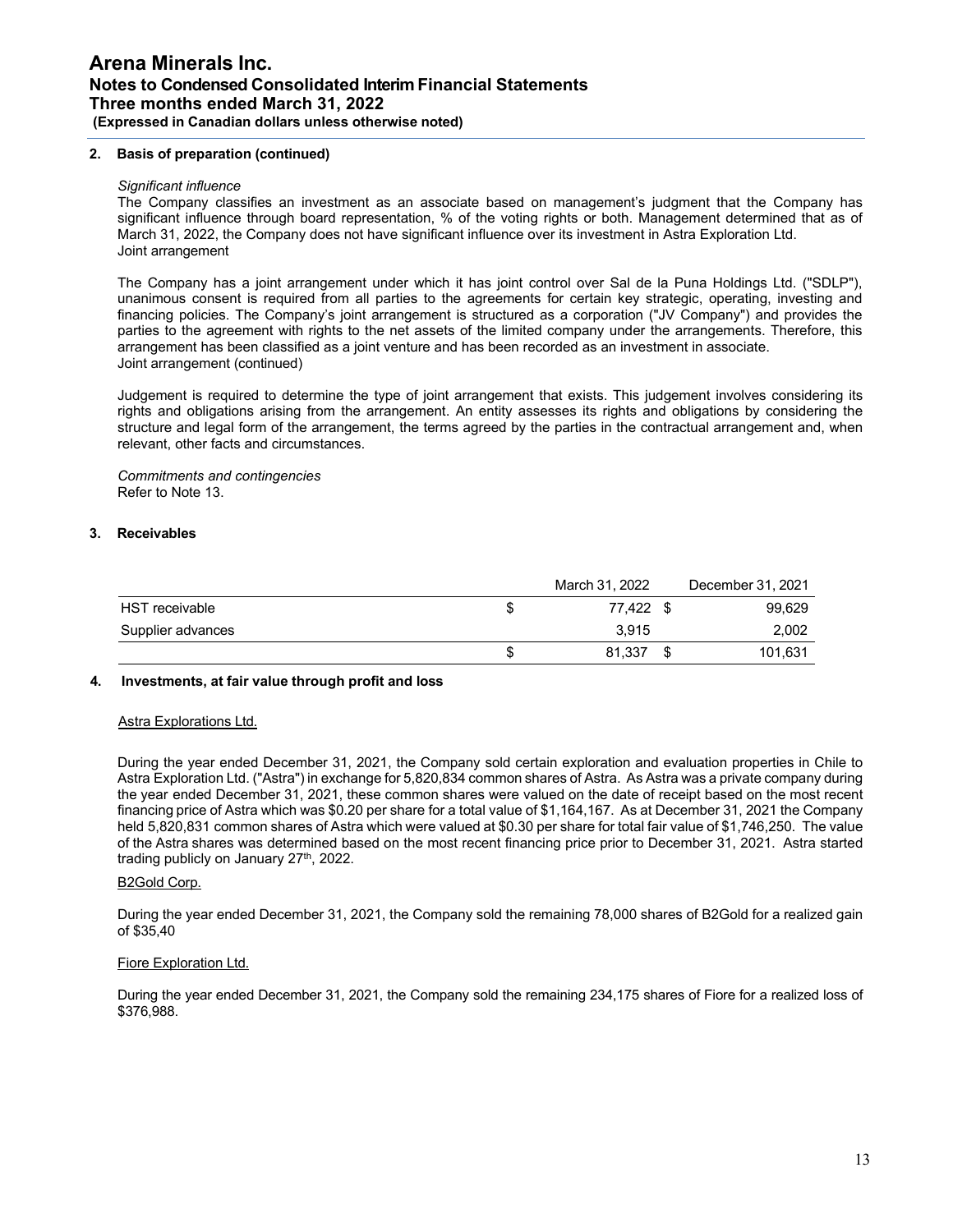# **2. Basis of preparation (continued)**

#### *Significant influence*

The Company classifies an investment as an associate based on management's judgment that the Company has significant influence through board representation, % of the voting rights or both. Management determined that as of March 31, 2022, the Company does not have significant influence over its investment in Astra Exploration Ltd. Joint arrangement

The Company has a joint arrangement under which it has joint control over Sal de la Puna Holdings Ltd. ("SDLP"), unanimous consent is required from all parties to the agreements for certain key strategic, operating, investing and financing policies. The Company's joint arrangement is structured as a corporation ("JV Company") and provides the parties to the agreement with rights to the net assets of the limited company under the arrangements. Therefore, this arrangement has been classified as a joint venture and has been recorded as an investment in associate. Joint arrangement (continued)

Judgement is required to determine the type of joint arrangement that exists. This judgement involves considering its rights and obligations arising from the arrangement. An entity assesses its rights and obligations by considering the structure and legal form of the arrangement, the terms agreed by the parties in the contractual arrangement and, when relevant, other facts and circumstances.

*Commitments and contingencies* Refer to Note 13.

### **3. Receivables**

|                   | March 31, 2022 | December 31, 2021 |
|-------------------|----------------|-------------------|
| HST receivable    | 77.422 \$      | 99,629            |
| Supplier advances | 3.915          | 2,002             |
|                   | 81,337         | 101,631           |

#### **4. Investments, at fair value through profit and loss**

#### Astra Explorations Ltd.

During the year ended December 31, 2021, the Company sold certain exploration and evaluation properties in Chile to Astra Exploration Ltd. ("Astra") in exchange for 5,820,834 common shares of Astra. As Astra was a private company during the year ended December 31, 2021, these common shares were valued on the date of receipt based on the most recent financing price of Astra which was \$0.20 per share for a total value of \$1,164,167. As at December 31, 2021 the Company held 5,820,831 common shares of Astra which were valued at \$0.30 per share for total fair value of \$1,746,250. The value of the Astra shares was determined based on the most recent financing price prior to December 31, 2021. Astra started trading publicly on January 27<sup>th</sup>, 2022.

#### B2Gold Corp.

During the year ended December 31, 2021, the Company sold the remaining 78,000 shares of B2Gold for a realized gain of \$35,40

#### Fiore Exploration Ltd.

During the year ended December 31, 2021, the Company sold the remaining 234,175 shares of Fiore for a realized loss of \$376,988.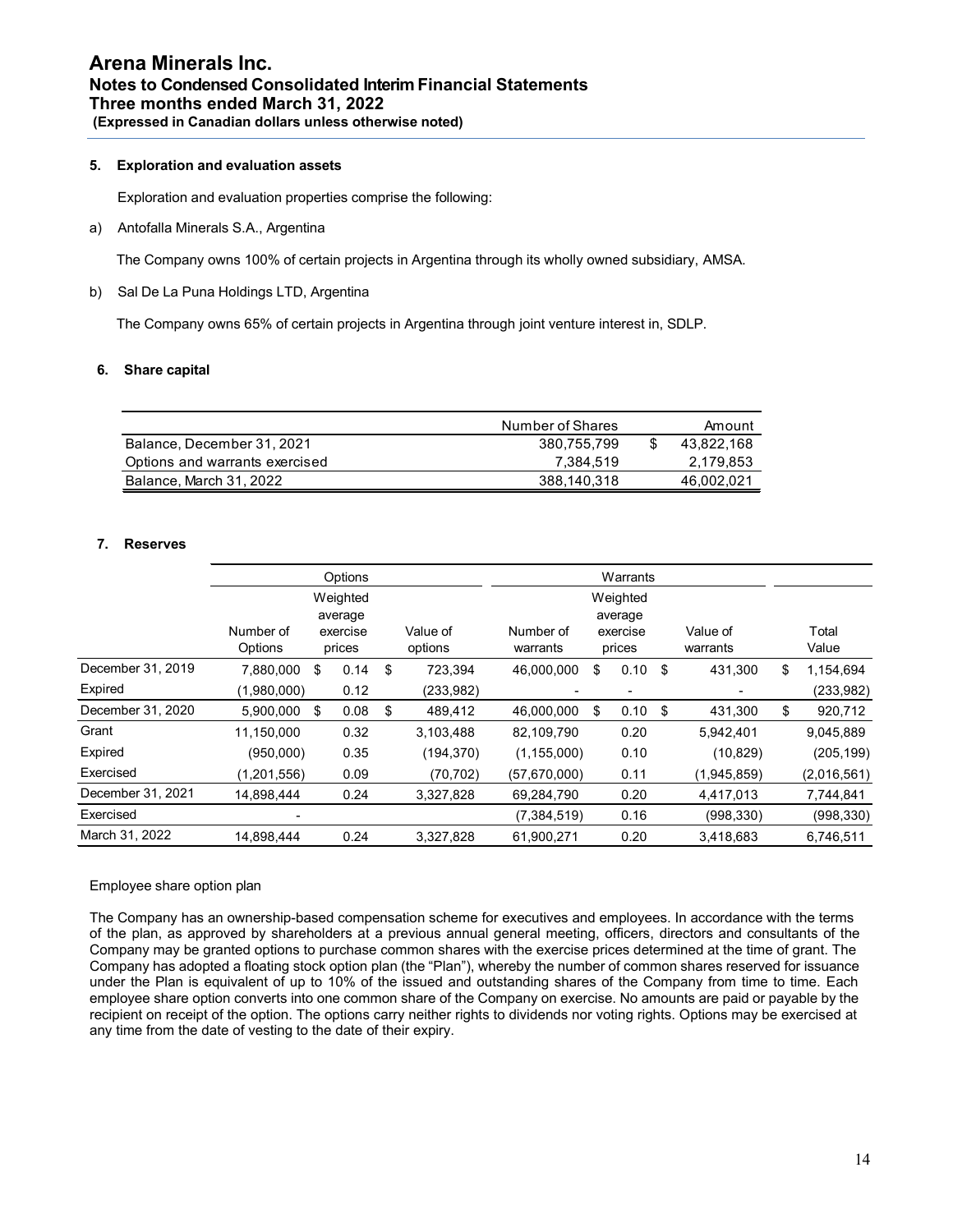# **5. Exploration and evaluation assets**

Exploration and evaluation properties comprise the following:

a) Antofalla Minerals S.A., Argentina

The Company owns 100% of certain projects in Argentina through its wholly owned subsidiary, AMSA.

b) Sal De La Puna Holdings LTD, Argentina

The Company owns 65% of certain projects in Argentina through joint venture interest in, SDLP.

# **6. Share capital**

|                                | Number of Shares | Amount     |
|--------------------------------|------------------|------------|
| Balance, December 31, 2021     | 380.755.799      | 43.822.168 |
| Options and warrants exercised | 7.384.519        | 2,179,853  |
| Balance, March 31, 2022        | 388,140,318      | 46,002,021 |

# **7. Reserves**

|                   |                      | Options             |                     |                       | Warrants            |                      |                 |
|-------------------|----------------------|---------------------|---------------------|-----------------------|---------------------|----------------------|-----------------|
|                   |                      | Weighted<br>average |                     |                       | Weighted<br>average |                      |                 |
|                   | Number of<br>Options | exercise<br>prices  | Value of<br>options | Number of<br>warrants | exercise<br>prices  | Value of<br>warrants | Total<br>Value  |
| December 31, 2019 | 7,880,000            | \$<br>0.14          | \$<br>723,394       | 46,000,000            | \$<br>0.10          | \$<br>431,300        | \$<br>1,154,694 |
| Expired           | (1,980,000)          | 0.12                | (233, 982)          |                       | -                   |                      | (233,982)       |
| December 31, 2020 | 5,900,000            | \$<br>0.08          | \$<br>489,412       | 46,000,000            | \$<br>0.10          | \$<br>431,300        | \$<br>920,712   |
| Grant             | 11,150,000           | 0.32                | 3,103,488           | 82,109,790            | 0.20                | 5,942,401            | 9,045,889       |
| Expired           | (950,000)            | 0.35                | (194, 370)          | (1, 155, 000)         | 0.10                | (10, 829)            | (205, 199)      |
| Exercised         | (1,201,556)          | 0.09                | (70, 702)           | (57,670,000)          | 0.11                | (1,945,859)          | (2,016,561)     |
| December 31, 2021 | 14,898,444           | 0.24                | 3,327,828           | 69,284,790            | 0.20                | 4,417,013            | 7,744,841       |
| Exercised         |                      |                     |                     | (7, 384, 519)         | 0.16                | (998, 330)           | (998, 330)      |
| March 31, 2022    | 14,898,444           | 0.24                | 3,327,828           | 61,900,271            | 0.20                | 3,418,683            | 6,746,511       |

# Employee share option plan

The Company has an ownership-based compensation scheme for executives and employees. In accordance with the terms of the plan, as approved by shareholders at a previous annual general meeting, officers, directors and consultants of the Company may be granted options to purchase common shares with the exercise prices determined at the time of grant. The Company has adopted a floating stock option plan (the "Plan"), whereby the number of common shares reserved for issuance under the Plan is equivalent of up to 10% of the issued and outstanding shares of the Company from time to time. Each employee share option converts into one common share of the Company on exercise. No amounts are paid or payable by the recipient on receipt of the option. The options carry neither rights to dividends nor voting rights. Options may be exercised at any time from the date of vesting to the date of their expiry.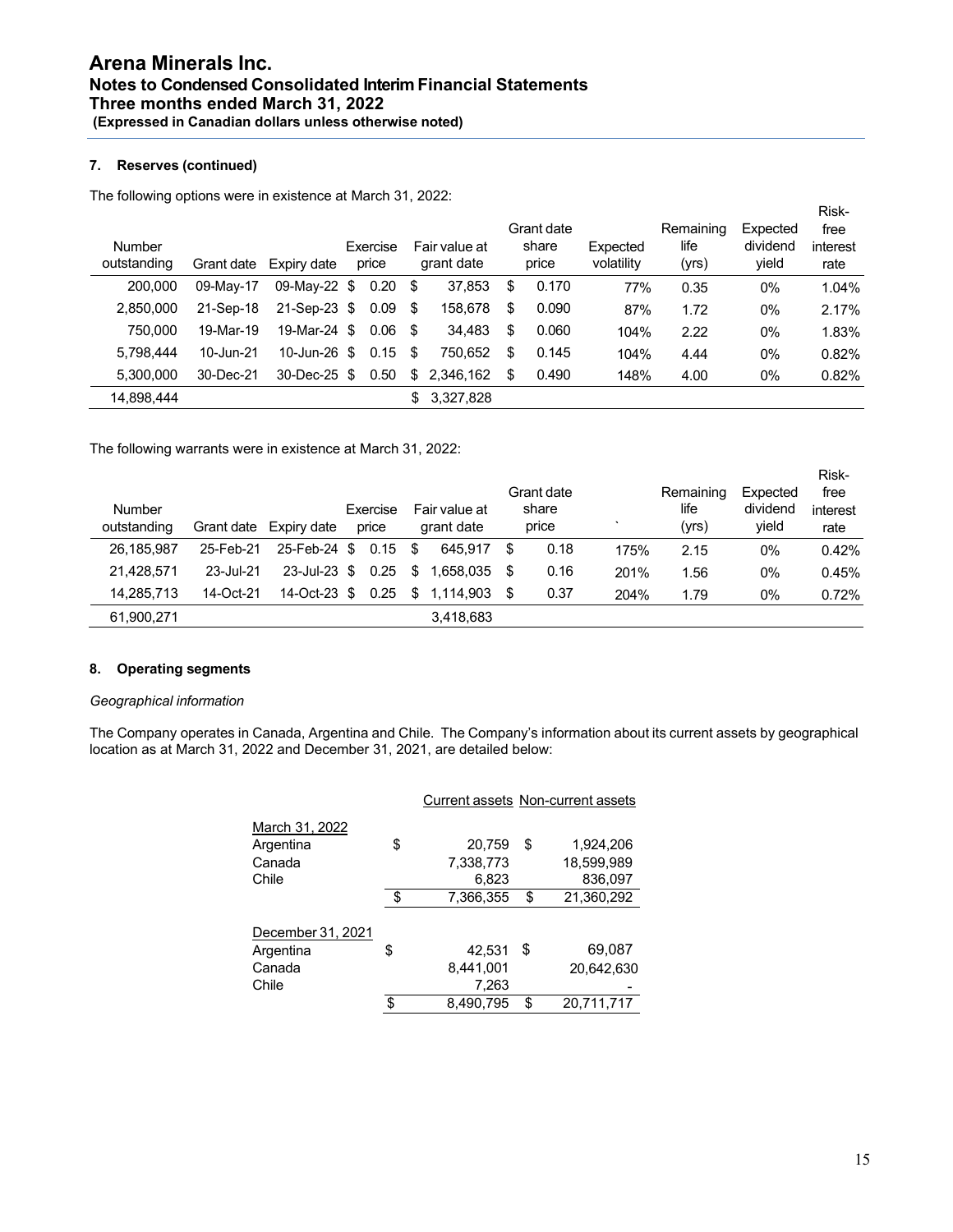# **7. Reserves (continued)**

The following options were in existence at March 31, 2022:

| <b>Number</b><br>outstanding | Grant date | Expiry date  | Exercise<br>price |     | Fair value at<br>grant date |   | Grant date<br>share<br>price | Expected<br>volatility | Remaining<br>life<br>(yrs) | Expected<br>dividend<br>yield | Risk-<br>free<br>interest<br>rate |
|------------------------------|------------|--------------|-------------------|-----|-----------------------------|---|------------------------------|------------------------|----------------------------|-------------------------------|-----------------------------------|
| 200.000                      | 09-May-17  | 09-May-22 \$ | 0.20              | \$  | 37,853                      | S | 0.170                        | 77%                    | 0.35                       | $0\%$                         | 1.04%                             |
| 2,850,000                    | 21-Sep-18  | 21-Sep-23 \$ | 0.09              | \$  | 158,678                     | S | 0.090                        | 87%                    | 1.72                       | $0\%$                         | 2.17%                             |
| 750,000                      | 19-Mar-19  | 19-Mar-24 \$ | 0.06              | -\$ | 34,483                      | S | 0.060                        | 104%                   | 2.22                       | $0\%$                         | 1.83%                             |
| 5.798.444                    | 10-Jun-21  | 10-Jun-26 \$ | 0.15              | \$  | 750.652                     | S | 0.145                        | 104%                   | 4.44                       | $0\%$                         | 0.82%                             |
| 5.300.000                    | 30-Dec-21  | 30-Dec-25 \$ | 0.50              | \$  | 2,346,162                   | S | 0.490                        | 148%                   | 4.00                       | $0\%$                         | 0.82%                             |
| 14,898,444                   |            |              |                   | \$  | 3,327,828                   |   |                              |                        |                            |                               |                                   |

The following warrants were in existence at March 31, 2022:

| Number      |           |                        | Exercise |     | Fair value at |      | Grant date<br>share |      | Remaining<br>life | Expected<br>dividend | Risk-<br>free<br>interest |
|-------------|-----------|------------------------|----------|-----|---------------|------|---------------------|------|-------------------|----------------------|---------------------------|
| outstanding |           | Grant date Expiry date | price    |     | grant date    |      | price               |      | (yrs)             | vield                | rate                      |
| 26.185.987  | 25-Feb-21 | 25-Feb-24 \$           | 0.15     | \$. | 645.917       | \$   | 0.18                | 175% | 2.15              | 0%                   | 0.42%                     |
| 21.428.571  | 23-Jul-21 | $23$ -Jul-23 \$        | 0.25     | S   | 1.658.035     | - \$ | 0.16                | 201% | 1.56              | 0%                   | 0.45%                     |
| 14.285.713  | 14-Oct-21 | 14-Oct-23 \$           | 0.25     | S   | 1.114.903     | - \$ | 0.37                | 204% | 1.79              | 0%                   | 0.72%                     |
| 61.900.271  |           |                        |          |     | 3,418,683     |      |                     |      |                   |                      |                           |

# **8. Operating segments**

### *Geographical information*

The Company operates in Canada, Argentina and Chile. The Company's information about its current assets by geographical location as at March 31, 2022 and December 31, 2021, are detailed below:

|                   |                 | Curiciil assels indi-curiciil assels |
|-------------------|-----------------|--------------------------------------|
| March 31, 2022    |                 |                                      |
| Argentina         | \$<br>20,759    | \$<br>1,924,206                      |
| Canada            | 7,338,773       | 18,599,989                           |
| Chile             | 6,823           | 836,097                              |
|                   | \$<br>7,366,355 | \$<br>21,360,292                     |
| December 31, 2021 |                 |                                      |
| Argentina         | \$<br>42.531    | \$<br>69,087                         |
| Canada            | 8,441,001       | 20,642,630                           |
| Chile             | 7,263           |                                      |
|                   | \$<br>8,490,795 | \$<br>20,711,717                     |
|                   |                 |                                      |

#### Current assets Non-current assets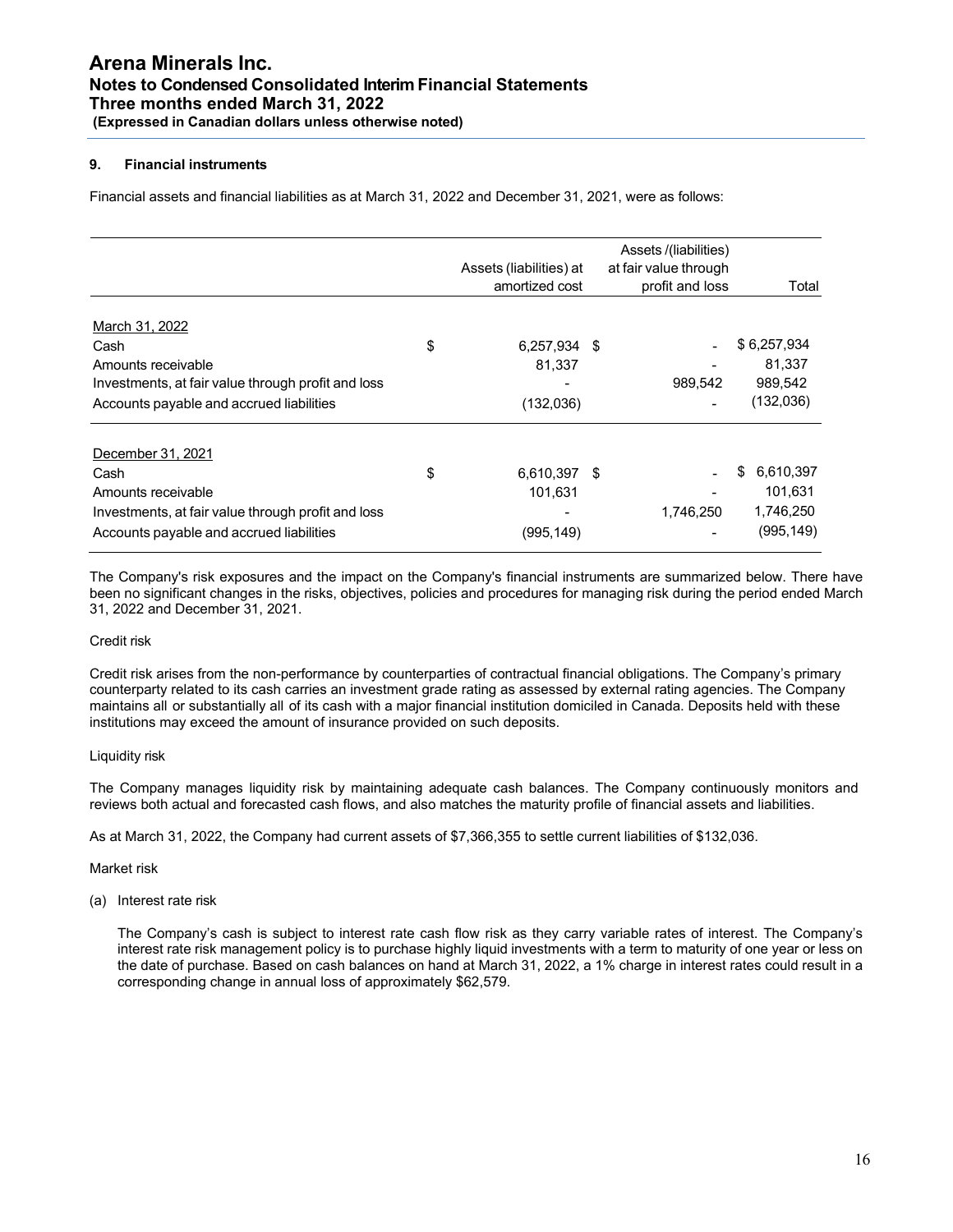# **9. Financial instruments**

Financial assets and financial liabilities as at March 31, 2022 and December 31, 2021, were as follows:

|                                                    | Assets (liabilities) at<br>amortized cost |     | Assets /(liabilities)<br>at fair value through<br>profit and loss | Total           |
|----------------------------------------------------|-------------------------------------------|-----|-------------------------------------------------------------------|-----------------|
| March 31, 2022                                     |                                           |     |                                                                   |                 |
| Cash                                               | \$<br>6,257,934 \$                        |     |                                                                   | \$6,257,934     |
| Amounts receivable                                 | 81,337                                    |     |                                                                   | 81,337          |
| Investments, at fair value through profit and loss |                                           |     | 989,542                                                           | 989,542         |
| Accounts payable and accrued liabilities           | (132,036)                                 |     |                                                                   | (132,036)       |
| December 31, 2021                                  |                                           |     |                                                                   |                 |
| Cash                                               | \$<br>6,610,397                           | -\$ |                                                                   | \$<br>6,610,397 |
| Amounts receivable                                 | 101,631                                   |     |                                                                   | 101.631         |
| Investments, at fair value through profit and loss |                                           |     | 1.746.250                                                         | 1,746,250       |
| Accounts payable and accrued liabilities           | (995, 149)                                |     |                                                                   | (995,149)       |

The Company's risk exposures and the impact on the Company's financial instruments are summarized below. There have been no significant changes in the risks, objectives, policies and procedures for managing risk during the period ended March 31, 2022 and December 31, 2021.

# Credit risk

Credit risk arises from the non-performance by counterparties of contractual financial obligations. The Company's primary counterparty related to its cash carries an investment grade rating as assessed by external rating agencies. The Company maintains all or substantially all of its cash with a major financial institution domiciled in Canada. Deposits held with these institutions may exceed the amount of insurance provided on such deposits.

# Liquidity risk

The Company manages liquidity risk by maintaining adequate cash balances. The Company continuously monitors and reviews both actual and forecasted cash flows, and also matches the maturity profile of financial assets and liabilities.

As at March 31, 2022, the Company had current assets of \$7,366,355 to settle current liabilities of \$132,036.

#### Market risk

(a) Interest rate risk

The Company's cash is subject to interest rate cash flow risk as they carry variable rates of interest. The Company's interest rate risk management policy is to purchase highly liquid investments with a term to maturity of one year or less on the date of purchase. Based on cash balances on hand at March 31, 2022, a 1% charge in interest rates could result in a corresponding change in annual loss of approximately \$62,579.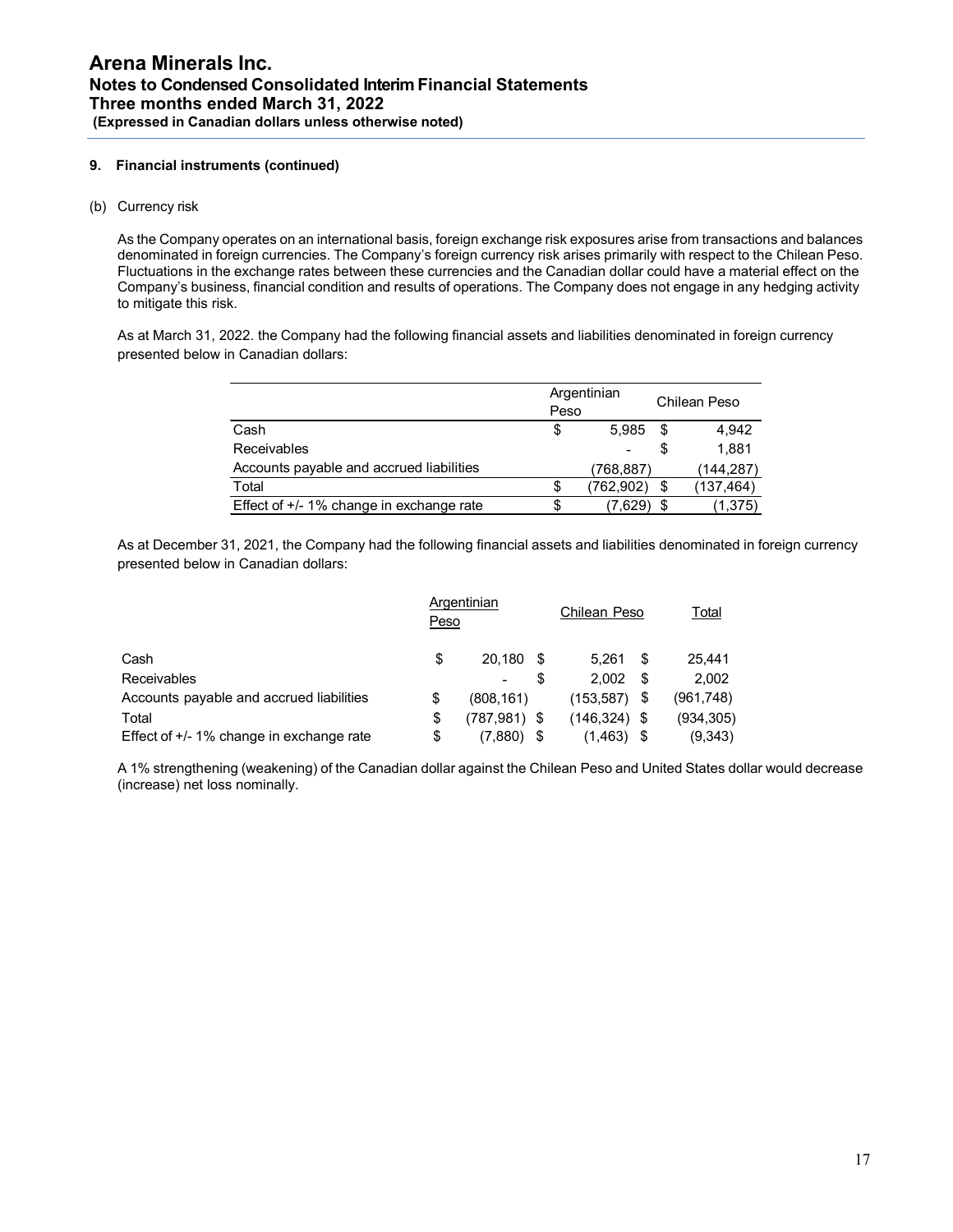# **9. Financial instruments (continued)**

(b) Currency risk

As the Company operates on an international basis, foreign exchange risk exposures arise from transactions and balances denominated in foreign currencies. The Company's foreign currency risk arises primarily with respect to the Chilean Peso. Fluctuations in the exchange rates between these currencies and the Canadian dollar could have a material effect on the Company's business, financial condition and results of operations. The Company does not engage in any hedging activity to mitigate this risk.

As at March 31, 2022. the Company had the following financial assets and liabilities denominated in foreign currency presented below in Canadian dollars:

|                                            | Argentinian<br>Peso |            |   |           |  |
|--------------------------------------------|---------------------|------------|---|-----------|--|
| Cash                                       | S                   | 5.985      | S | 4.942     |  |
| Receivables                                |                     |            |   | 1.881     |  |
| Accounts payable and accrued liabilities   |                     | (768,887)  |   | (144,287) |  |
| Total                                      | \$                  | (762, 902) |   | (137,464) |  |
| Effect of $+/-$ 1% change in exchange rate | S                   | (7.629)    |   | (1,375)   |  |

As at December 31, 2021, the Company had the following financial assets and liabilities denominated in foreign currency presented below in Canadian dollars:

|                                          | Peso | Argentinian     |      | Chilean Peso    |     | Total      |
|------------------------------------------|------|-----------------|------|-----------------|-----|------------|
| Cash                                     | S    | 20.180          | - \$ | 5.261           | \$. | 25.441     |
| <b>Receivables</b>                       |      | $\blacksquare$  |      | 2.002           | \$. | 2,002      |
| Accounts payable and accrued liabilities | \$   | (808.161)       |      | (153, 587)      |     | (961,748)  |
| Total                                    | \$   | $(787, 981)$ \$ |      | $(146, 324)$ \$ |     | (934, 305) |
| Effect of +/- 1% change in exchange rate | \$   | (7.880)         |      | (1, 463)        |     | (9,343)    |

A 1% strengthening (weakening) of the Canadian dollar against the Chilean Peso and United States dollar would decrease (increase) net loss nominally.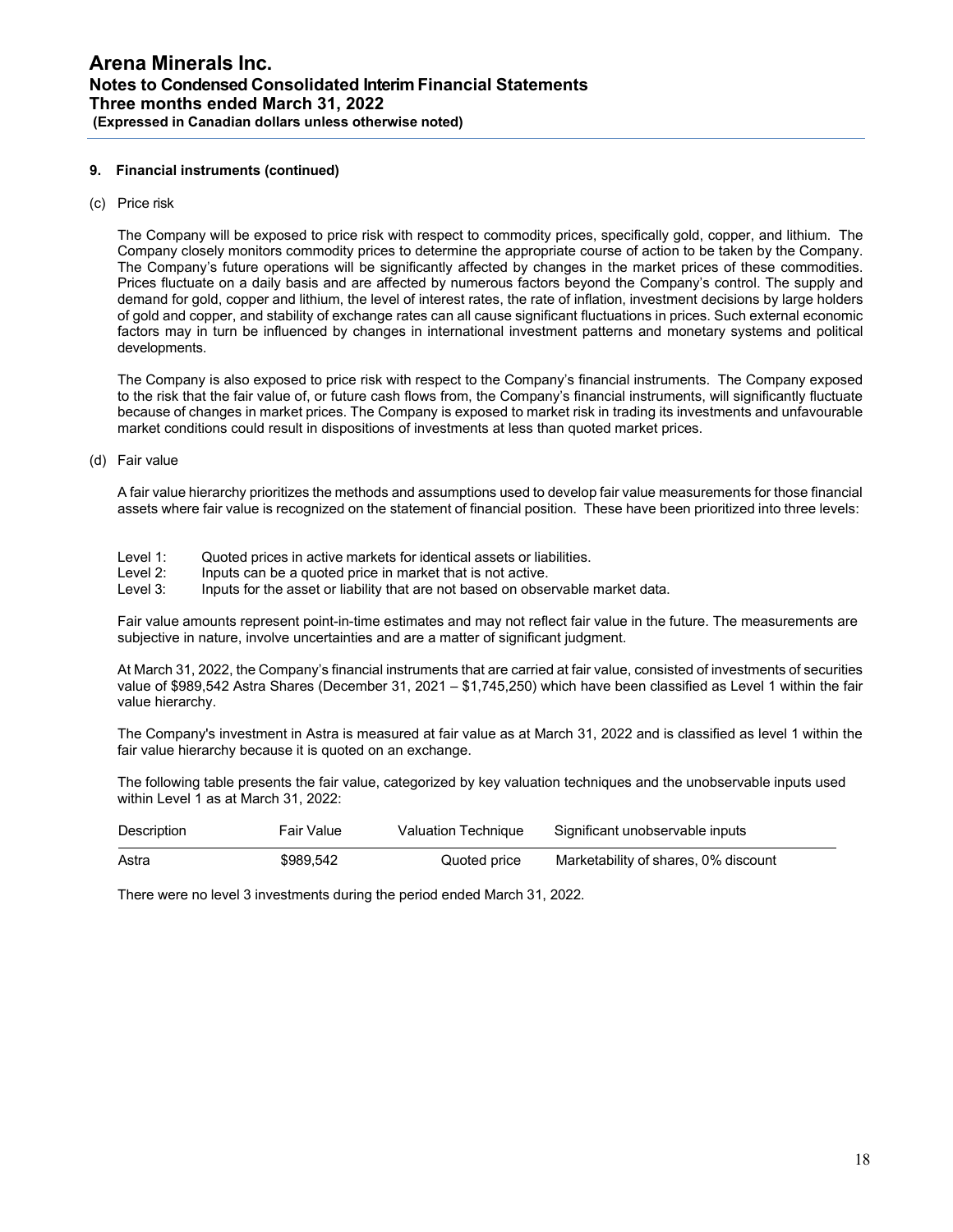## **9. Financial instruments (continued)**

(c) Price risk

The Company will be exposed to price risk with respect to commodity prices, specifically gold, copper, and lithium. The Company closely monitors commodity prices to determine the appropriate course of action to be taken by the Company. The Company's future operations will be significantly affected by changes in the market prices of these commodities. Prices fluctuate on a daily basis and are affected by numerous factors beyond the Company's control. The supply and demand for gold, copper and lithium, the level of interest rates, the rate of inflation, investment decisions by large holders of gold and copper, and stability of exchange rates can all cause significant fluctuations in prices. Such external economic factors may in turn be influenced by changes in international investment patterns and monetary systems and political developments.

The Company is also exposed to price risk with respect to the Company's financial instruments. The Company exposed to the risk that the fair value of, or future cash flows from, the Company's financial instruments, will significantly fluctuate because of changes in market prices. The Company is exposed to market risk in trading its investments and unfavourable market conditions could result in dispositions of investments at less than quoted market prices.

(d) Fair value

A fair value hierarchy prioritizes the methods and assumptions used to develop fair value measurements for those financial assets where fair value is recognized on the statement of financial position. These have been prioritized into three levels:

- Level 1: Quoted prices in active markets for identical assets or liabilities.<br>Level 2: linputs can be a quoted price in market that is not active.
- Level 2: Inputs can be a quoted price in market that is not active.<br>Level 3: Inputs for the asset or liability that are not based on obse
- Inputs for the asset or liability that are not based on observable market data.

Fair value amounts represent point-in-time estimates and may not reflect fair value in the future. The measurements are subjective in nature, involve uncertainties and are a matter of significant judgment.

At March 31, 2022, the Company's financial instruments that are carried at fair value, consisted of investments of securities value of \$989,542 Astra Shares (December 31, 2021 – \$1,745,250) which have been classified as Level 1 within the fair value hierarchy.

The Company's investment in Astra is measured at fair value as at March 31, 2022 and is classified as level 1 within the fair value hierarchy because it is quoted on an exchange.

The following table presents the fair value, categorized by key valuation techniques and the unobservable inputs used within Level 1 as at March 31, 2022:

| Description | <b>Fair Value</b> | Valuation Technique | Significant unobservable inputs      |
|-------------|-------------------|---------------------|--------------------------------------|
| Astra       | \$989.542         | Quoted price        | Marketability of shares, 0% discount |

There were no level 3 investments during the period ended March 31, 2022.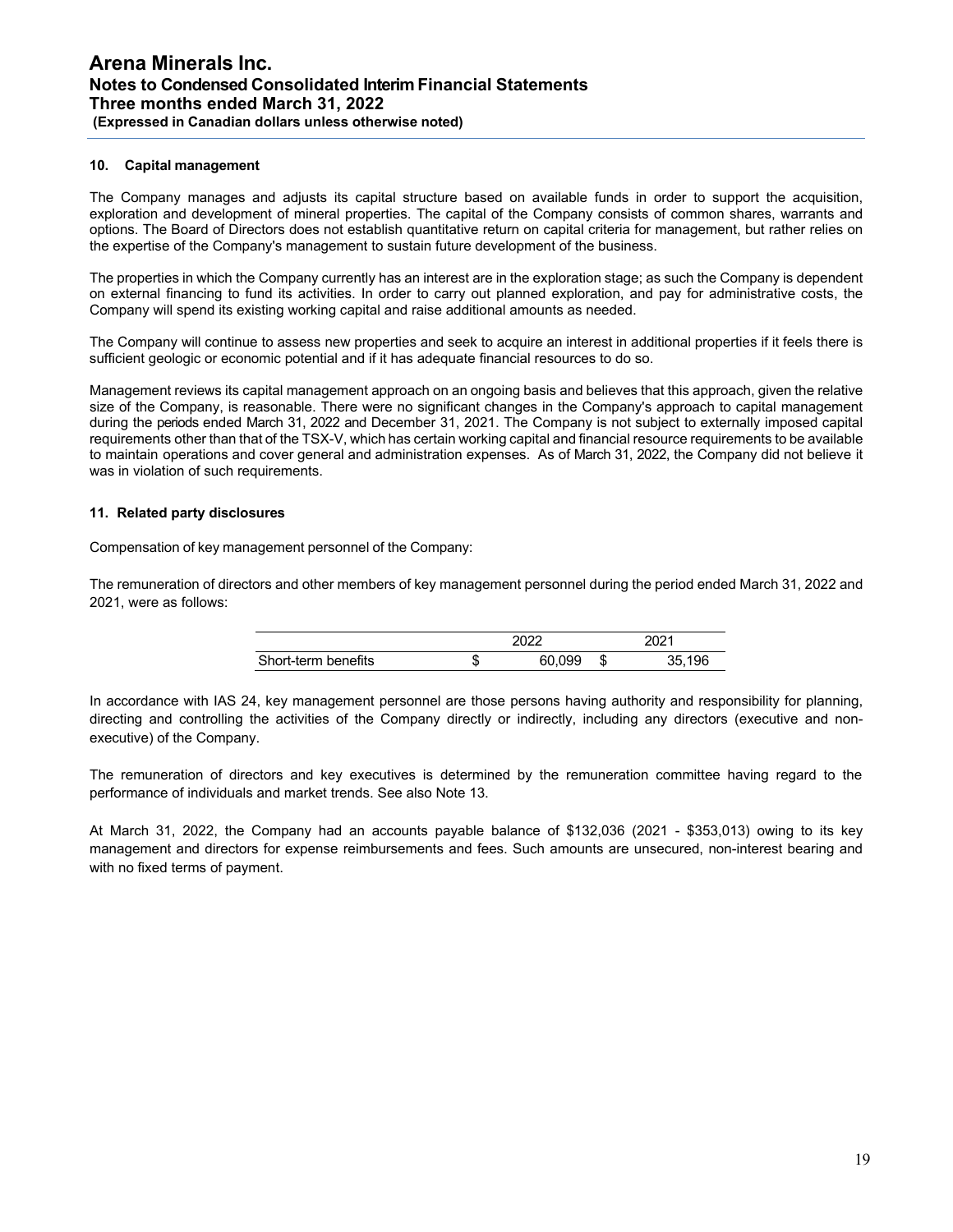# **10. Capital management**

The Company manages and adjusts its capital structure based on available funds in order to support the acquisition, exploration and development of mineral properties. The capital of the Company consists of common shares, warrants and options. The Board of Directors does not establish quantitative return on capital criteria for management, but rather relies on the expertise of the Company's management to sustain future development of the business.

The properties in which the Company currently has an interest are in the exploration stage; as such the Company is dependent on external financing to fund its activities. In order to carry out planned exploration, and pay for administrative costs, the Company will spend its existing working capital and raise additional amounts as needed.

The Company will continue to assess new properties and seek to acquire an interest in additional properties if it feels there is sufficient geologic or economic potential and if it has adequate financial resources to do so.

Management reviews its capital management approach on an ongoing basis and believes that this approach, given the relative size of the Company, is reasonable. There were no significant changes in the Company's approach to capital management during the periods ended March 31, 2022 and December 31, 2021. The Company is not subject to externally imposed capital requirements other than that of the TSX-V, which has certain working capital and financial resource requirements to be available to maintain operations and cover general and administration expenses. As of March 31, 2022, the Company did not believe it was in violation of such requirements.

# **11. Related party disclosures**

Compensation of key management personnel of the Company:

The remuneration of directors and other members of key management personnel during the period ended March 31, 2022 and 2021, were as follows:

|                     | 2022 |        |   | 2021   |  |  |
|---------------------|------|--------|---|--------|--|--|
| Short-term benefits |      | 60,099 | Ъ | 35.196 |  |  |

In accordance with IAS 24, key management personnel are those persons having authority and responsibility for planning, directing and controlling the activities of the Company directly or indirectly, including any directors (executive and nonexecutive) of the Company.

The remuneration of directors and key executives is determined by the remuneration committee having regard to the performance of individuals and market trends. See also Note 13.

At March 31, 2022, the Company had an accounts payable balance of \$132,036 (2021 - \$353,013) owing to its key management and directors for expense reimbursements and fees. Such amounts are unsecured, non-interest bearing and with no fixed terms of payment.